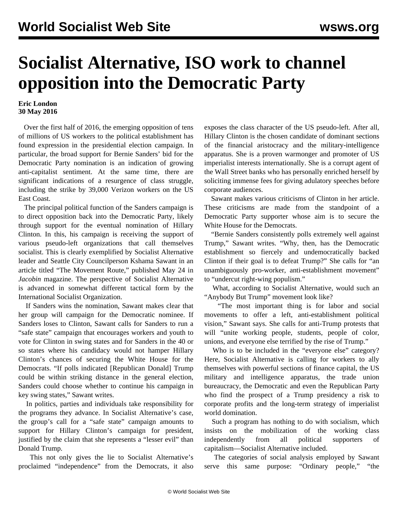## **Socialist Alternative, ISO work to channel opposition into the Democratic Party**

## **Eric London 30 May 2016**

 Over the first half of 2016, the emerging opposition of tens of millions of US workers to the political establishment has found expression in the presidential election campaign. In particular, the broad support for Bernie Sanders' bid for the Democratic Party nomination is an indication of growing anti-capitalist sentiment. At the same time, there are significant indications of a resurgence of class struggle, including the strike by 39,000 Verizon workers on the US East Coast.

 The principal political function of the Sanders campaign is to direct opposition back into the Democratic Party, likely through support for the eventual nomination of Hillary Clinton. In this, his campaign is receiving the support of various pseudo-left organizations that call themselves socialist. This is clearly exemplified by Socialist Alternative leader and Seattle City Councilperson Kshama Sawant in an article titled "The Movement Route," published May 24 in *Jacobin* magazine. The perspective of Socialist Alternative is advanced in somewhat different tactical form by the International Socialist Organization.

 If Sanders wins the nomination, Sawant makes clear that her group will campaign for the Democratic nominee. If Sanders loses to Clinton, Sawant calls for Sanders to run a "safe state" campaign that encourages workers and youth to vote for Clinton in swing states and for Sanders in the 40 or so states where his candidacy would not hamper Hillary Clinton's chances of securing the White House for the Democrats. "If polls indicated [Republican Donald] Trump could be within striking distance in the general election, Sanders could choose whether to continue his campaign in key swing states," Sawant writes.

 In politics, parties and individuals take responsibility for the programs they advance. In Socialist Alternative's case, the group's call for a "safe state" campaign amounts to support for Hillary Clinton's campaign for president, justified by the claim that she represents a "lesser evil" than Donald Trump.

 This not only gives the lie to Socialist Alternative's proclaimed "independence" from the Democrats, it also exposes the class character of the US pseudo-left. After all, Hillary Clinton is the chosen candidate of dominant sections of the financial aristocracy and the military-intelligence apparatus. She is a proven warmonger and promoter of US imperialist interests internationally. She is a corrupt agent of the Wall Street banks who has personally enriched herself by soliciting immense fees for giving adulatory speeches before corporate audiences.

 Sawant makes various criticisms of Clinton in her article. These criticisms are made from the standpoint of a Democratic Party supporter whose aim is to secure the White House for the Democrats.

 "Bernie Sanders consistently polls extremely well against Trump," Sawant writes. "Why, then, has the Democratic establishment so fiercely and undemocratically backed Clinton if their goal is to defeat Trump?" She calls for "an unambiguously pro-worker, anti-establishment movement" to "undercut right-wing populism."

 What, according to Socialist Alternative, would such an "Anybody But Trump" movement look like?

 "The most important thing is for labor and social movements to offer a left, anti-establishment political vision," Sawant says. She calls for anti-Trump protests that will "unite working people, students, people of color, unions, and everyone else terrified by the rise of Trump."

Who is to be included in the "everyone else" category? Here, Socialist Alternative is calling for workers to ally themselves with powerful sections of finance capital, the US military and intelligence apparatus, the trade union bureaucracy, the Democratic and even the Republican Party who find the prospect of a Trump presidency a risk to corporate profits and the long-term strategy of imperialist world domination.

 Such a program has nothing to do with socialism, which insists on the mobilization of the working class independently from all political supporters of capitalism—Socialist Alternative included.

 The categories of social analysis employed by Sawant serve this same purpose: "Ordinary people," "the